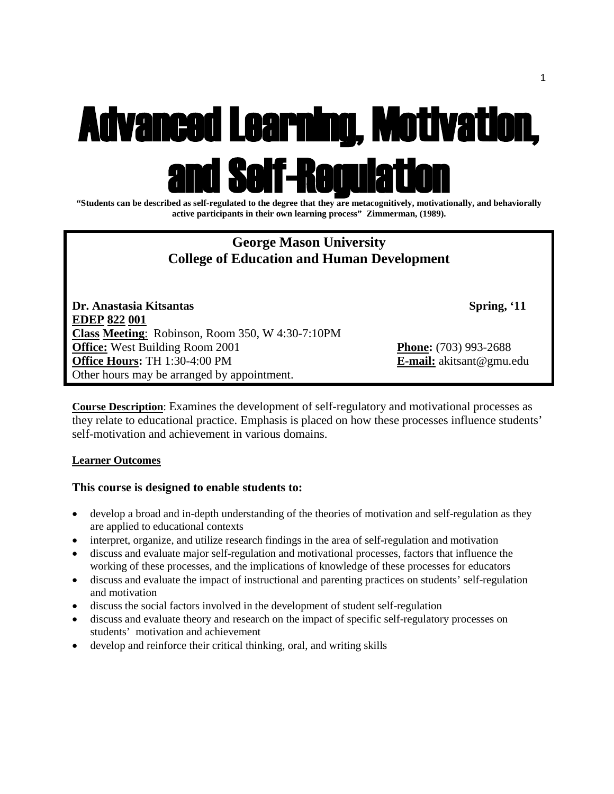# Advanced Learning, Motivation, and Self-Regulation **"Students can be described as self-regulated to the degree that they are metacognitively, motivationally, and behaviorally**

**active participants in their own learning process" Zimmerman, (1989).**

# **George Mason University College of Education and Human Development**

**Dr. Anastasia Kitsantas Spring, '11 EDEP 822 001 Class Meeting**: Robinson, Room 350, W 4:30-7:10PM **Office:** West Building Room 2001 **Phone:** (703) 993-2688 **Office Hours:** TH 1:30-4:00 PM **E-mail:** akitsant@gmu.edu Other hours may be arranged by appointment.

**Course Description**: Examines the development of self-regulatory and motivational processes as they relate to educational practice. Emphasis is placed on how these processes influence students' self-motivation and achievement in various domains.

## **Learner Outcomes**

## **This course is designed to enable students to:**

- develop a broad and in-depth understanding of the theories of motivation and self-regulation as they are applied to educational contexts
- interpret, organize, and utilize research findings in the area of self-regulation and motivation
- discuss and evaluate major self-regulation and motivational processes, factors that influence the working of these processes, and the implications of knowledge of these processes for educators
- discuss and evaluate the impact of instructional and parenting practices on students' self-regulation and motivation
- discuss the social factors involved in the development of student self-regulation
- discuss and evaluate theory and research on the impact of specific self-regulatory processes on students' motivation and achievement
- develop and reinforce their critical thinking, oral, and writing skills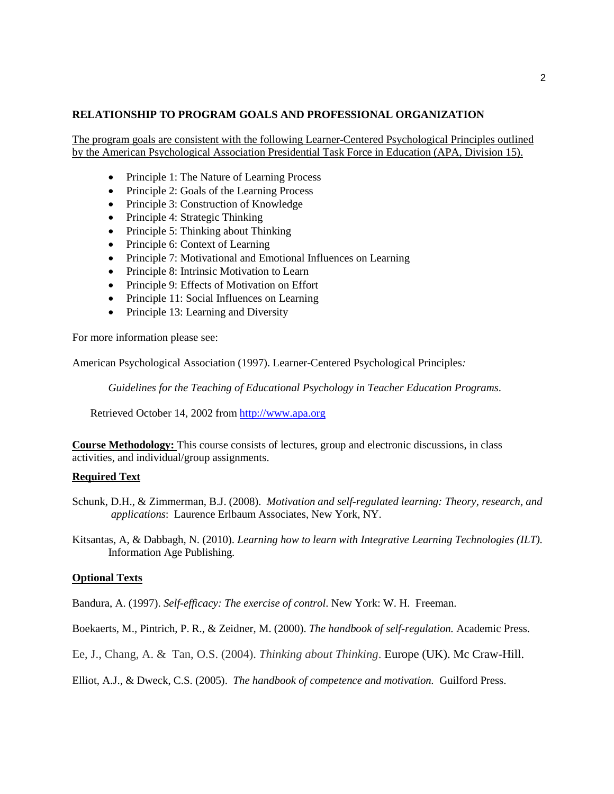#### **RELATIONSHIP TO PROGRAM GOALS AND PROFESSIONAL ORGANIZATION**

The program goals are consistent with the following Learner-Centered Psychological Principles outlined by the American Psychological Association Presidential Task Force in Education (APA, Division 15).

- Principle 1: The Nature of Learning Process
- Principle 2: Goals of the Learning Process
- Principle 3: Construction of Knowledge
- Principle 4: Strategic Thinking
- Principle 5: Thinking about Thinking
- Principle 6: Context of Learning
- Principle 7: Motivational and Emotional Influences on Learning
- Principle 8: Intrinsic Motivation to Learn
- Principle 9: Effects of Motivation on Effort
- Principle 11: Social Influences on Learning
- Principle 13: Learning and Diversity

For more information please see:

American Psychological Association (1997). Learner-Centered Psychological Principles*:* 

*Guidelines for the Teaching of Educational Psychology in Teacher Education Programs*.

Retrieved October 14, 2002 from [http://www.apa.org](http://www.apa.org/)

**Course Methodology:** This course consists of lectures, group and electronic discussions, in class activities, and individual/group assignments.

#### **Required Text**

Schunk, D.H., & Zimmerman, B.J. (2008). *Motivation and self-regulated learning: Theory, research, and applications*: Laurence Erlbaum Associates, New York, NY.

Kitsantas, A, & Dabbagh, N. (2010). *Learning how to learn with Integrative Learning Technologies (ILT).*  Information Age Publishing.

#### **Optional Texts**

Bandura, A. (1997). *Self-efficacy: The exercise of control*. New York: W. H. Freeman.

Boekaerts, M., Pintrich, P. R., & Zeidner, M. (2000). *The handbook of self-regulation.* Academic Press.

Ee, J., Chang, A. & Tan, O.S. (2004). *Thinking about Thinking*. Europe (UK). Mc Craw-Hill.

Elliot, A.J., & Dweck, C.S. (2005). *The handbook of competence and motivation.* Guilford Press.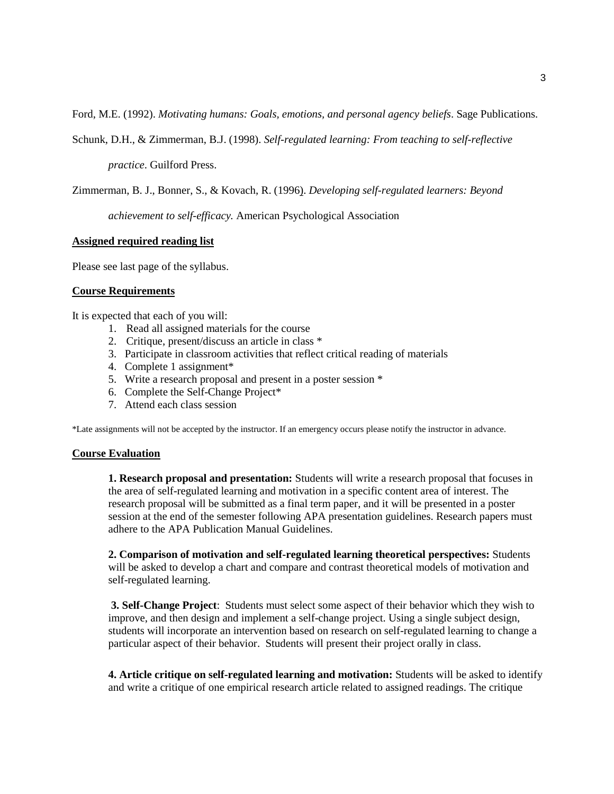Ford, M.E. (1992). *Motivating humans: Goals, emotions, and personal agency beliefs*. Sage Publications.

Schunk, D.H., & Zimmerman, B.J. (1998). *Self-regulated learning: From teaching to self-reflective* 

*practice*. Guilford Press.

Zimmerman, B. J., Bonner, S., & Kovach, R. (1996). *Developing self-regulated learners: Beyond* 

*achievement to self-efficacy.* American Psychological Association

#### **Assigned required reading list**

Please see last page of the syllabus.

#### **Course Requirements**

It is expected that each of you will:

- 1. Read all assigned materials for the course
- 2. Critique, present/discuss an article in class \*
- 3. Participate in classroom activities that reflect critical reading of materials
- 4. Complete 1 assignment\*
- 5. Write a research proposal and present in a poster session \*
- 6. Complete the Self-Change Project\*
- 7. Attend each class session

\*Late assignments will not be accepted by the instructor. If an emergency occurs please notify the instructor in advance.

#### **Course Evaluation**

**1. Research proposal and presentation:** Students will write a research proposal that focuses in the area of self-regulated learning and motivation in a specific content area of interest. The research proposal will be submitted as a final term paper, and it will be presented in a poster session at the end of the semester following APA presentation guidelines. Research papers must adhere to the APA Publication Manual Guidelines.

**2. Comparison of motivation and self-regulated learning theoretical perspectives:** Students will be asked to develop a chart and compare and contrast theoretical models of motivation and self-regulated learning.

**3. Self-Change Project**: Students must select some aspect of their behavior which they wish to improve, and then design and implement a self-change project. Using a single subject design, students will incorporate an intervention based on research on self-regulated learning to change a particular aspect of their behavior. Students will present their project orally in class.

**4. Article critique on self-regulated learning and motivation:** Students will be asked to identify and write a critique of one empirical research article related to assigned readings. The critique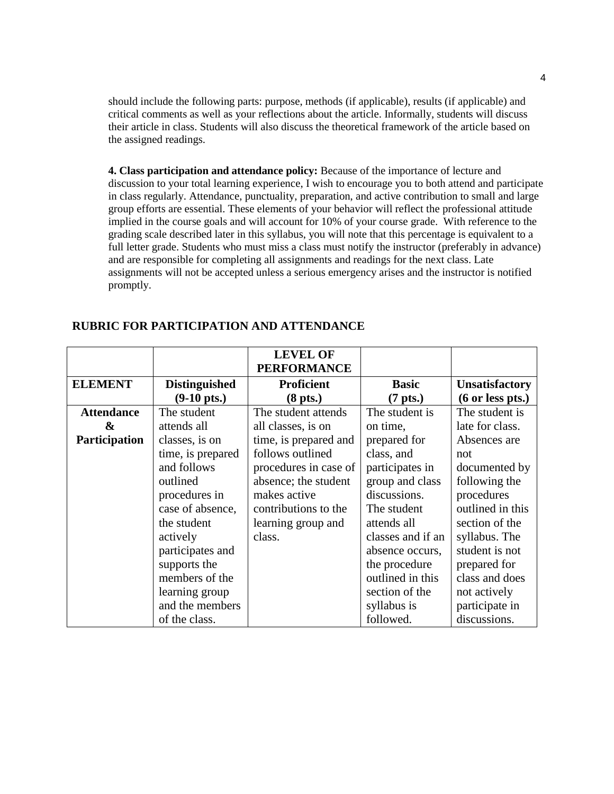should include the following parts: purpose, methods (if applicable), results (if applicable) and critical comments as well as your reflections about the article. Informally, students will discuss their article in class. Students will also discuss the theoretical framework of the article based on the assigned readings.

**4. Class participation and attendance policy:** Because of the importance of lecture and discussion to your total learning experience, I wish to encourage you to both attend and participate in class regularly. Attendance, punctuality, preparation, and active contribution to small and large group efforts are essential. These elements of your behavior will reflect the professional attitude implied in the course goals and will account for 10% of your course grade. With reference to the grading scale described later in this syllabus, you will note that this percentage is equivalent to a full letter grade. Students who must miss a class must notify the instructor (preferably in advance) and are responsible for completing all assignments and readings for the next class. Late assignments will not be accepted unless a serious emergency arises and the instructor is notified promptly.

|                   |                       | <b>LEVEL OF</b><br><b>PERFORMANCE</b> |                   |                            |
|-------------------|-----------------------|---------------------------------------|-------------------|----------------------------|
| <b>ELEMENT</b>    | <b>Distinguished</b>  | <b>Proficient</b>                     | <b>Basic</b>      | <b>Unsatisfactory</b>      |
|                   | $(9-10 \text{ pts.})$ | $(8$ pts.)                            | $(7$ pts.)        | $(6 \text{ or less pts.})$ |
| <b>Attendance</b> | The student           | The student attends                   | The student is    | The student is             |
| &                 | attends all           | all classes, is on                    | on time,          | late for class.            |
| Participation     | classes, is on        | time, is prepared and                 | prepared for      | Absences are               |
|                   | time, is prepared     | follows outlined                      | class, and        | not                        |
|                   | and follows           | procedures in case of                 | participates in   | documented by              |
|                   | outlined              | absence; the student                  | group and class   | following the              |
|                   | procedures in         | makes active                          | discussions.      | procedures                 |
|                   | case of absence,      | contributions to the                  | The student       | outlined in this           |
|                   | the student           | learning group and                    | attends all       | section of the             |
|                   | actively              | class.                                | classes and if an | syllabus. The              |
|                   | participates and      |                                       | absence occurs,   | student is not             |
|                   | supports the          |                                       | the procedure     | prepared for               |
|                   | members of the        |                                       | outlined in this  | class and does             |
|                   | learning group        |                                       | section of the    | not actively               |
|                   | and the members       |                                       | syllabus is       | participate in             |
|                   | of the class.         |                                       | followed.         | discussions.               |

### **RUBRIC FOR PARTICIPATION AND ATTENDANCE**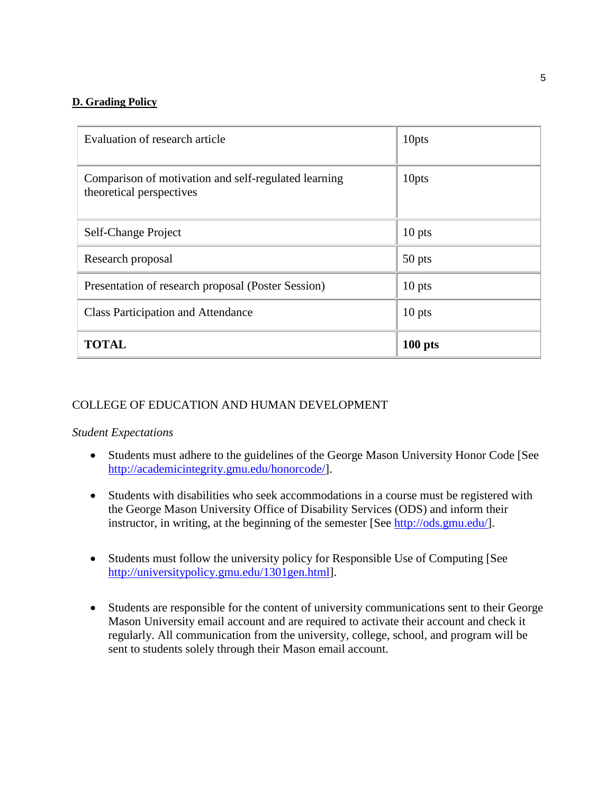# **D. Grading Policy**

| Evaluation of research article                                                   | 10pts     |
|----------------------------------------------------------------------------------|-----------|
| Comparison of motivation and self-regulated learning<br>theoretical perspectives | 10pts     |
| Self-Change Project                                                              | $10$ pts  |
| Research proposal                                                                | 50 pts    |
| Presentation of research proposal (Poster Session)                               | $10$ pts  |
| <b>Class Participation and Attendance</b>                                        | $10$ pts  |
| <b>TOTAL</b>                                                                     | $100$ pts |

# COLLEGE OF EDUCATION AND HUMAN DEVELOPMENT

# *Student Expectations*

- Students must adhere to the guidelines of the George Mason University Honor Code [See [http://academicintegrity.gmu.edu/honorcode/\]](http://academicintegrity.gmu.edu/honorcode/).
- Students with disabilities who seek accommodations in a course must be registered with the George Mason University Office of Disability Services (ODS) and inform their instructor, in writing, at the beginning of the semester [See [http://ods.gmu.edu/\]](http://ods.gmu.edu/).
- Students must follow the university policy for Responsible Use of Computing [See [http://universitypolicy.gmu.edu/1301gen.html\]](http://universitypolicy.gmu.edu/1301gen.html).
- Students are responsible for the content of university communications sent to their George Mason University email account and are required to activate their account and check it regularly. All communication from the university, college, school, and program will be sent to students solely through their Mason email account.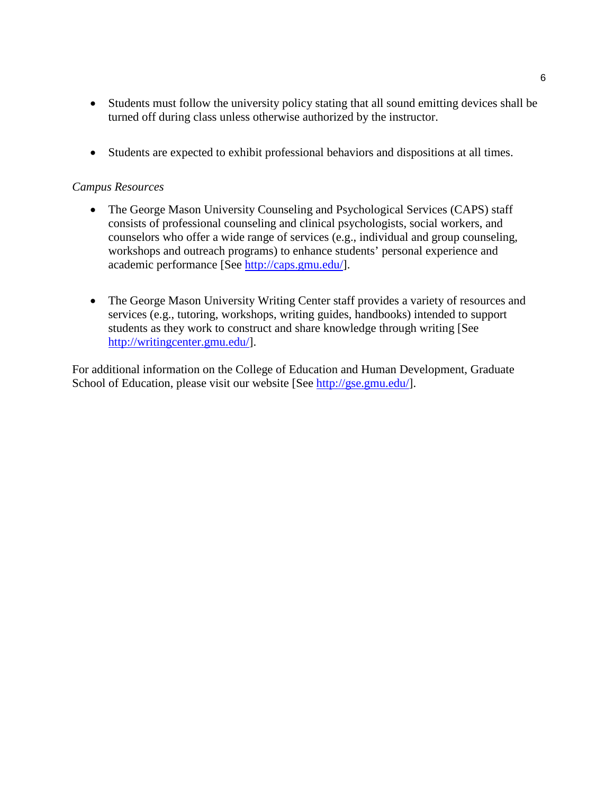- Students must follow the university policy stating that all sound emitting devices shall be turned off during class unless otherwise authorized by the instructor.
- Students are expected to exhibit professional behaviors and dispositions at all times.

## *Campus Resources*

- The George Mason University Counseling and Psychological Services (CAPS) staff consists of professional counseling and clinical psychologists, social workers, and counselors who offer a wide range of services (e.g., individual and group counseling, workshops and outreach programs) to enhance students' personal experience and academic performance [See [http://caps.gmu.edu/\]](http://caps.gmu.edu/).
- The George Mason University Writing Center staff provides a variety of resources and services (e.g., tutoring, workshops, writing guides, handbooks) intended to support students as they work to construct and share knowledge through writing [See [http://writingcenter.gmu.edu/\]](http://writingcenter.gmu.edu/).

For additional information on the College of Education and Human Development, Graduate School of Education, please visit our website [See [http://gse.gmu.edu/\]](http://gse.gmu.edu/).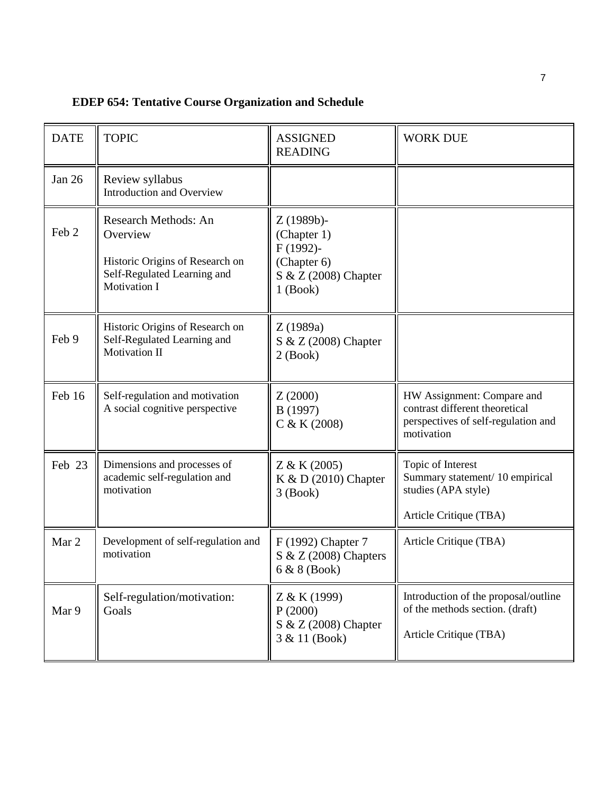| <b>EDEP 654: Tentative Course Organization and Schedule</b> |
|-------------------------------------------------------------|
|-------------------------------------------------------------|

| <b>DATE</b> | <b>TOPIC</b>                                                                                                                     | <b>ASSIGNED</b><br><b>READING</b>                                                             | <b>WORK DUE</b>                                                                                                   |
|-------------|----------------------------------------------------------------------------------------------------------------------------------|-----------------------------------------------------------------------------------------------|-------------------------------------------------------------------------------------------------------------------|
| Jan 26      | Review syllabus<br>Introduction and Overview                                                                                     |                                                                                               |                                                                                                                   |
| Feb 2       | <b>Research Methods: An</b><br>Overview<br>Historic Origins of Research on<br>Self-Regulated Learning and<br><b>Motivation I</b> | $Z(1989b)$ -<br>(Chapter 1)<br>F (1992)-<br>(Chapter 6)<br>S & Z (2008) Chapter<br>$1$ (Book) |                                                                                                                   |
| Feb 9       | Historic Origins of Research on<br>Self-Regulated Learning and<br>Motivation II                                                  | Z(1989a)<br>S & Z (2008) Chapter<br>$2$ (Book)                                                |                                                                                                                   |
| Feb 16      | Self-regulation and motivation<br>A social cognitive perspective                                                                 | Z(2000)<br>B (1997)<br>C & K (2008)                                                           | HW Assignment: Compare and<br>contrast different theoretical<br>perspectives of self-regulation and<br>motivation |
| Feb 23      | Dimensions and processes of<br>academic self-regulation and<br>motivation                                                        | Z & K (2005)<br>K & D (2010) Chapter<br>$3$ (Book)                                            | Topic of Interest<br>Summary statement/10 empirical<br>studies (APA style)<br>Article Critique (TBA)              |
| Mar 2       | Development of self-regulation and<br>motivation                                                                                 | F (1992) Chapter 7<br>$S & Z (2008)$ Chapters<br>6 & 8 (Book)                                 | Article Critique (TBA)                                                                                            |
| Mar 9       | Self-regulation/motivation:<br>Goals                                                                                             | Z & K (1999)<br>P(2000)<br>S & Z (2008) Chapter<br>3 & 11 (Book)                              | Introduction of the proposal/outline<br>of the methods section. (draft)<br>Article Critique (TBA)                 |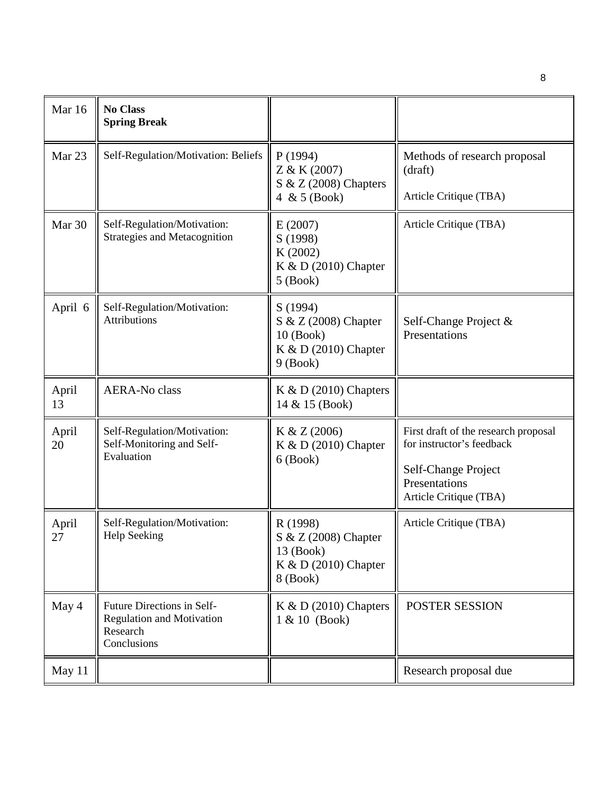| Mar 16      | <b>No Class</b><br><b>Spring Break</b>                                                    |                                                                                         |                                                                                                                                     |
|-------------|-------------------------------------------------------------------------------------------|-----------------------------------------------------------------------------------------|-------------------------------------------------------------------------------------------------------------------------------------|
| Mar 23      | Self-Regulation/Motivation: Beliefs                                                       | P(1994)<br>Z & K (2007)<br>$S & Z (2008)$ Chapters<br>4 & $5$ (Book)                    | Methods of research proposal<br>(draft)<br>Article Critique (TBA)                                                                   |
| Mar 30      | Self-Regulation/Motivation:<br><b>Strategies and Metacognition</b>                        | E(2007)<br>S (1998)<br>K (2002)<br>K & D $(2010)$ Chapter<br>$5$ (Book)                 | Article Critique (TBA)                                                                                                              |
| April 6     | Self-Regulation/Motivation:<br><b>Attributions</b>                                        | S (1994)<br>S & Z (2008) Chapter<br>$10$ (Book)<br>K & D $(2010)$ Chapter<br>$9$ (Book) | Self-Change Project &<br>Presentations                                                                                              |
| April<br>13 | <b>AERA-No class</b>                                                                      | $K & D (2010)$ Chapters<br>14 & 15 (Book)                                               |                                                                                                                                     |
| April<br>20 | Self-Regulation/Motivation:<br>Self-Monitoring and Self-<br>Evaluation                    | K & Z (2006)<br>K & D (2010) Chapter<br>$6$ (Book)                                      | First draft of the research proposal<br>for instructor's feedback<br>Self-Change Project<br>Presentations<br>Article Critique (TBA) |
| April<br>27 | Self-Regulation/Motivation:<br><b>Help Seeking</b>                                        | R (1998)<br>S & Z (2008) Chapter<br>13 (Book)<br>K & D $(2010)$ Chapter<br>8 (Book)     | Article Critique (TBA)                                                                                                              |
| May 4       | Future Directions in Self-<br><b>Regulation and Motivation</b><br>Research<br>Conclusions | K & D $(2010)$ Chapters<br>$1 & 10$ (Book)                                              | POSTER SESSION                                                                                                                      |
| May 11      |                                                                                           |                                                                                         | Research proposal due                                                                                                               |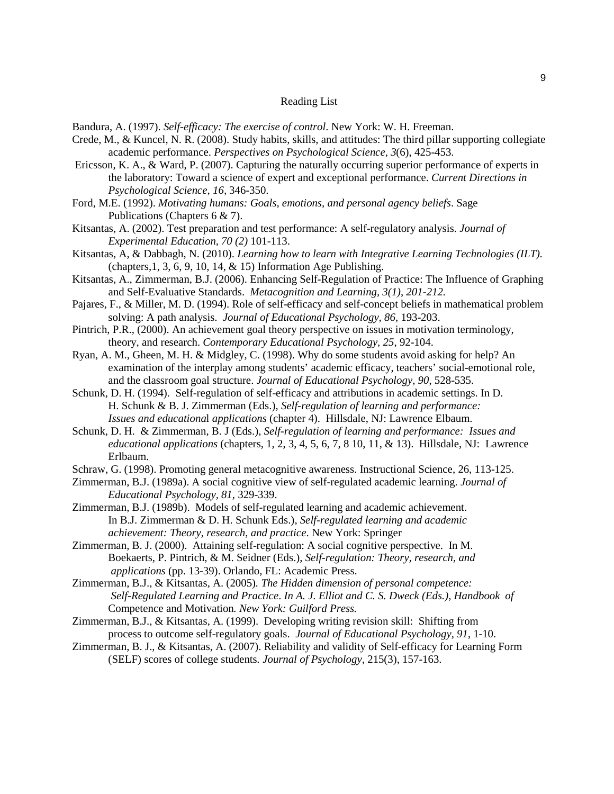#### Reading List

Bandura, A. (1997). *Self-efficacy: The exercise of control*. New York: W. H. Freeman.

- Crede, M., & Kuncel, N. R. (2008). Study habits, skills, and attitudes: The third pillar supporting collegiate academic performance. *Perspectives on Psychological Science, 3*(6), 425-453.
- Ericsson, K. A., & Ward, P. (2007). Capturing the naturally occurring superior performance of experts in the laboratory: Toward a science of expert and exceptional performance. *Current Directions in Psychological Science, 16,* 346-350.
- Ford, M.E. (1992). *Motivating humans: Goals, emotions, and personal agency beliefs*. Sage Publications (Chapters 6 & 7).
- Kitsantas, A. (2002). Test preparation and test performance: A self-regulatory analysis. *Journal of Experimental Education, 70 (2)* 101-113.
- Kitsantas, A, & Dabbagh, N. (2010). *Learning how to learn with Integrative Learning Technologies (ILT).*  (chapters,1, 3, 6, 9, 10, 14, & 15) Information Age Publishing.
- Kitsantas, A., Zimmerman, B.J. (2006). Enhancing Self-Regulation of Practice: The Influence of Graphing and Self-Evaluative Standards. *Metacognition and Learning, 3(1), 201-212.*
- Pajares, F., & Miller, M. D. (1994). Role of self-efficacy and self-concept beliefs in mathematical problem solving: A path analysis. *Journal of Educational Psychology, 86,* 193-203.
- Pintrich, P.R., (2000). An achievement goal theory perspective on issues in motivation terminology, theory, and research. *Contemporary Educational Psychology, 25*, 92-104.
- Ryan, A. M., Gheen, M. H. & Midgley, C. (1998). Why do some students avoid asking for help? An examination of the interplay among students' academic efficacy, teachers' social-emotional role, and the classroom goal structure. *Journal of Educational Psychology, 90*, 528-535.
- Schunk, D. H. (1994). Self-regulation of self-efficacy and attributions in academic settings. In D. H. Schunk & B. J. Zimmerman (Eds.), *Self-regulation of learning and performance: Issues and educationa*l *applications* (chapter 4). Hillsdale, NJ: Lawrence Elbaum.
- Schunk, D. H. & Zimmerman, B. J (Eds.), *Self-regulation of learning and performance: Issues and educational applications* (chapters, 1, 2, 3, 4, 5, 6, 7, 8 10, 11, & 13). Hillsdale, NJ: Lawrence Erlbaum.
- Schraw, G. (1998). Promoting general metacognitive awareness. Instructional Science, 26, 113-125.
- Zimmerman, B.J. (1989a). A social cognitive view of self-regulated academic learning. *Journal of Educational Psychology, 81*, 329-339.
- Zimmerman, B.J. (1989b). Models of self-regulated learning and academic achievement. In B.J. Zimmerman & D. H. Schunk Eds.), *Self-regulated learning and academic achievement: Theory, research, and practice*. New York: Springer
- Zimmerman, B. J. (2000). Attaining self-regulation: A social cognitive perspective. In M. Boekaerts, P. Pintrich, & M. Seidner (Eds.), *Self-regulation: Theory, research, and applications* (pp. 13-39). Orlando, FL: Academic Press.
- Zimmerman, B.J., & Kitsantas, A. (2005)*. The Hidden dimension of personal competence: Self-Regulated Learning and Practice*. *In A. J. Elliot and C. S. Dweck (Eds.), Handbook of*  Competence and Motivation*. New York: Guilford Press.*
- Zimmerman, B.J., & Kitsantas, A. (1999). Developing writing revision skill: Shifting from process to outcome self-regulatory goals. *Journal of Educational Psychology, 91*, 1-10.
- Zimmerman, B. J., & Kitsantas, A. (2007). Reliability and validity of Self-efficacy for Learning Form (SELF) scores of college students*. Journal of Psychology,* 215(3), 157-163.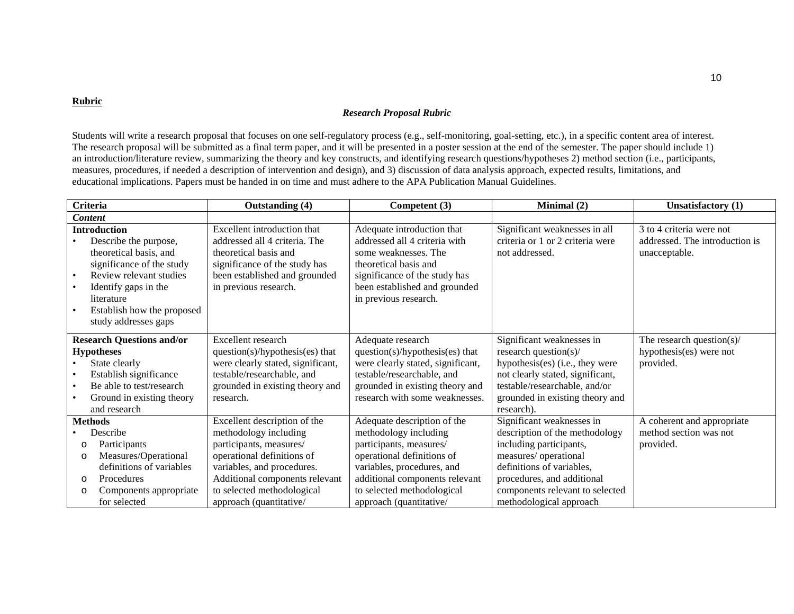#### **Rubric**

#### *Research Proposal Rubric*

Students will write a research proposal that focuses on one self-regulatory process (e.g., self-monitoring, goal-setting, etc.), in a specific content area of interest. The research proposal will be submitted as a final term paper, and it will be presented in a poster session at the end of the semester. The paper should include 1) an introduction/literature review, summarizing the theory and key constructs, and identifying research questions/hypotheses 2) method section (i.e., participants, measures, procedures, if needed a description of intervention and design), and 3) discussion of data analysis approach, expected results, limitations, and educational implications. Papers must be handed in on time and must adhere to the APA Publication Manual Guidelines.

| <b>Criteria</b>                                                                                                                                                                                                            | Outstanding (4)                                                                                                                                                                                                                         | Competent (3)                                                                                                                                                                                                                          | Minimal (2)                                                                                                                                                                                                                              | Unsatisfactory (1)                                                          |
|----------------------------------------------------------------------------------------------------------------------------------------------------------------------------------------------------------------------------|-----------------------------------------------------------------------------------------------------------------------------------------------------------------------------------------------------------------------------------------|----------------------------------------------------------------------------------------------------------------------------------------------------------------------------------------------------------------------------------------|------------------------------------------------------------------------------------------------------------------------------------------------------------------------------------------------------------------------------------------|-----------------------------------------------------------------------------|
| <b>Content</b>                                                                                                                                                                                                             |                                                                                                                                                                                                                                         |                                                                                                                                                                                                                                        |                                                                                                                                                                                                                                          |                                                                             |
| <b>Introduction</b><br>Describe the purpose,<br>theoretical basis, and<br>significance of the study<br>Review relevant studies<br>Identify gaps in the<br>literature<br>Establish how the proposed<br>study addresses gaps | Excellent introduction that<br>addressed all 4 criteria. The<br>theoretical basis and<br>significance of the study has<br>been established and grounded<br>in previous research.                                                        | Adequate introduction that<br>addressed all 4 criteria with<br>some weaknesses. The<br>theoretical basis and<br>significance of the study has<br>been established and grounded<br>in previous research.                                | Significant weaknesses in all<br>criteria or 1 or 2 criteria were<br>not addressed.                                                                                                                                                      | 3 to 4 criteria were not<br>addressed. The introduction is<br>unacceptable. |
| <b>Research Questions and/or</b><br><b>Hypotheses</b><br>State clearly<br>Establish significance<br>Be able to test/research<br>Ground in existing theory<br>and research                                                  | Excellent research<br>question(s)/hypothesis(es) that<br>were clearly stated, significant,<br>testable/researchable, and<br>grounded in existing theory and<br>research.                                                                | Adequate research<br>question(s)/hypothesis(es) that<br>were clearly stated, significant,<br>testable/researchable, and<br>grounded in existing theory and<br>research with some weaknesses.                                           | Significant weaknesses in<br>research question(s)/<br>hypothesis(es) (i.e., they were<br>not clearly stated, significant,<br>testable/researchable, and/or<br>grounded in existing theory and<br>research).                              | The research question $(s)$ /<br>hypothesis(es) were not<br>provided.       |
| <b>Methods</b><br>Describe<br>Participants<br>$\circ$<br>Measures/Operational<br>$\circ$<br>definitions of variables<br>Procedures<br>$\circ$<br>Components appropriate<br>O<br>for selected                               | Excellent description of the<br>methodology including<br>participants, measures/<br>operational definitions of<br>variables, and procedures.<br>Additional components relevant<br>to selected methodological<br>approach (quantitative/ | Adequate description of the<br>methodology including<br>participants, measures/<br>operational definitions of<br>variables, procedures, and<br>additional components relevant<br>to selected methodological<br>approach (quantitative/ | Significant weaknesses in<br>description of the methodology<br>including participants,<br>measures/ operational<br>definitions of variables,<br>procedures, and additional<br>components relevant to selected<br>methodological approach | A coherent and appropriate<br>method section was not<br>provided.           |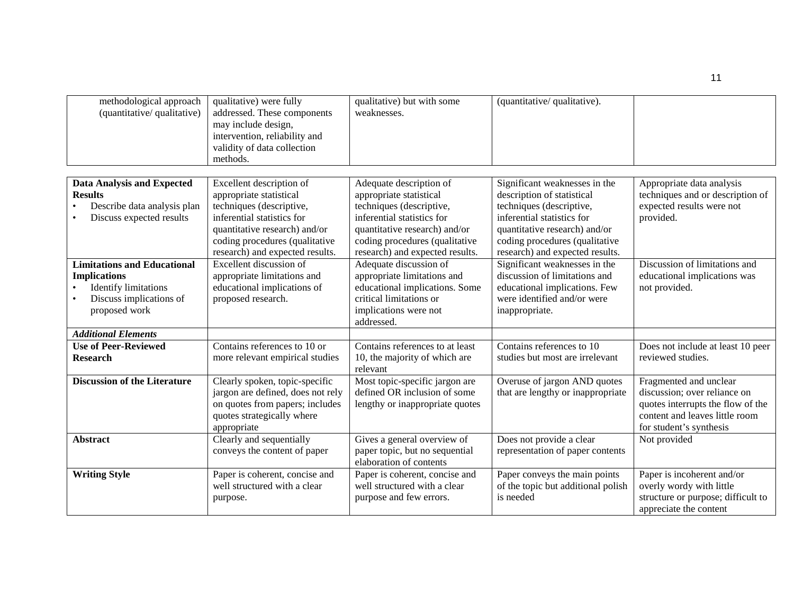| methodological approach<br>(quantitative/qualitative)                                                                                | qualitative) were fully<br>addressed. These components<br>may include design,<br>intervention, reliability and<br>validity of data collection<br>methods.                                                           | qualitative) but with some<br>weaknesses.                                                                                                                                                                          | (quantitative/qualitative).                                                                                                                                                                                                 |                                                                                                                                                          |
|--------------------------------------------------------------------------------------------------------------------------------------|---------------------------------------------------------------------------------------------------------------------------------------------------------------------------------------------------------------------|--------------------------------------------------------------------------------------------------------------------------------------------------------------------------------------------------------------------|-----------------------------------------------------------------------------------------------------------------------------------------------------------------------------------------------------------------------------|----------------------------------------------------------------------------------------------------------------------------------------------------------|
|                                                                                                                                      |                                                                                                                                                                                                                     |                                                                                                                                                                                                                    |                                                                                                                                                                                                                             |                                                                                                                                                          |
| <b>Data Analysis and Expected</b><br><b>Results</b><br>Describe data analysis plan<br>Discuss expected results                       | Excellent description of<br>appropriate statistical<br>techniques (descriptive,<br>inferential statistics for<br>quantitative research) and/or<br>coding procedures (qualitative<br>research) and expected results. | Adequate description of<br>appropriate statistical<br>techniques (descriptive,<br>inferential statistics for<br>quantitative research) and/or<br>coding procedures (qualitative<br>research) and expected results. | Significant weaknesses in the<br>description of statistical<br>techniques (descriptive,<br>inferential statistics for<br>quantitative research) and/or<br>coding procedures (qualitative<br>research) and expected results. | Appropriate data analysis<br>techniques and or description of<br>expected results were not<br>provided.                                                  |
| <b>Limitations and Educational</b><br><b>Implications</b><br><b>Identify limitations</b><br>Discuss implications of<br>proposed work | Excellent discussion of<br>appropriate limitations and<br>educational implications of<br>proposed research.                                                                                                         | Adequate discussion of<br>appropriate limitations and<br>educational implications. Some<br>critical limitations or<br>implications were not<br>addressed.                                                          | Significant weaknesses in the<br>discussion of limitations and<br>educational implications. Few<br>were identified and/or were<br>inappropriate.                                                                            | Discussion of limitations and<br>educational implications was<br>not provided.                                                                           |
| <b>Additional Elements</b>                                                                                                           |                                                                                                                                                                                                                     |                                                                                                                                                                                                                    |                                                                                                                                                                                                                             |                                                                                                                                                          |
| <b>Use of Peer-Reviewed</b><br><b>Research</b>                                                                                       | Contains references to 10 or<br>more relevant empirical studies                                                                                                                                                     | Contains references to at least<br>10, the majority of which are<br>relevant                                                                                                                                       | Contains references to 10<br>studies but most are irrelevant                                                                                                                                                                | Does not include at least 10 peer<br>reviewed studies.                                                                                                   |
| <b>Discussion of the Literature</b>                                                                                                  | Clearly spoken, topic-specific<br>jargon are defined, does not rely<br>on quotes from papers; includes<br>quotes strategically where<br>appropriate                                                                 | Most topic-specific jargon are<br>defined OR inclusion of some<br>lengthy or inappropriate quotes                                                                                                                  | Overuse of jargon AND quotes<br>that are lengthy or inappropriate                                                                                                                                                           | Fragmented and unclear<br>discussion; over reliance on<br>quotes interrupts the flow of the<br>content and leaves little room<br>for student's synthesis |
| <b>Abstract</b>                                                                                                                      | Clearly and sequentially<br>conveys the content of paper                                                                                                                                                            | Gives a general overview of<br>paper topic, but no sequential<br>elaboration of contents                                                                                                                           | Does not provide a clear<br>representation of paper contents                                                                                                                                                                | Not provided                                                                                                                                             |
| <b>Writing Style</b>                                                                                                                 | Paper is coherent, concise and<br>well structured with a clear<br>purpose.                                                                                                                                          | Paper is coherent, concise and<br>well structured with a clear<br>purpose and few errors.                                                                                                                          | Paper conveys the main points<br>of the topic but additional polish<br>is needed                                                                                                                                            | Paper is incoherent and/or<br>overly wordy with little<br>structure or purpose; difficult to<br>appreciate the content                                   |

11